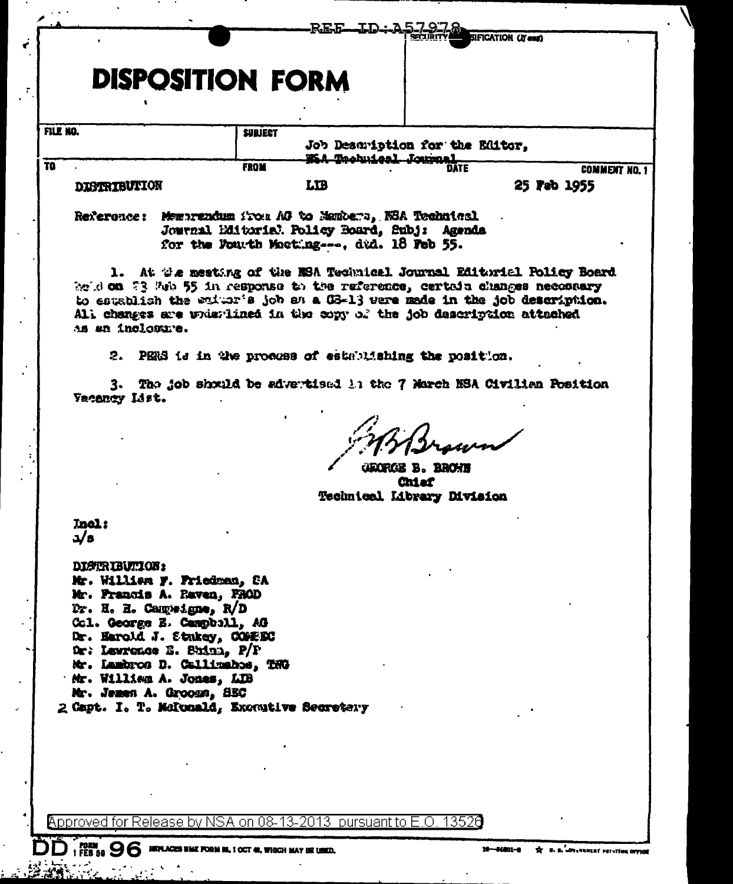|                 |                                                                                                                                                                                                                                                     |                |                                         | سطمسل                                                                 | SIFICATION (IT ent)                                                   |  |
|-----------------|-----------------------------------------------------------------------------------------------------------------------------------------------------------------------------------------------------------------------------------------------------|----------------|-----------------------------------------|-----------------------------------------------------------------------|-----------------------------------------------------------------------|--|
|                 |                                                                                                                                                                                                                                                     |                |                                         |                                                                       |                                                                       |  |
|                 | <b>DISPOSITION FORM</b>                                                                                                                                                                                                                             |                |                                         |                                                                       |                                                                       |  |
| FILE NO.        |                                                                                                                                                                                                                                                     | <b>SUBJECT</b> | Job Description for the Editor,         |                                                                       |                                                                       |  |
| TO <sub>1</sub> |                                                                                                                                                                                                                                                     | FROM           |                                         | 25A Tachuical Journal<br>DATE                                         | <b>COMMENT NO. 1</b>                                                  |  |
|                 | <b>DISTRIBUTION</b>                                                                                                                                                                                                                                 |                | <b>LTB</b>                              |                                                                       | 25 Feb 1955                                                           |  |
|                 | Reference: Membrandum Trou AG to Manters, NSA Technical                                                                                                                                                                                             |                | for the Fourth Macting, dud. 18 Feb 55. | Journal Editorial Policy Board, Subj: Agenda                          |                                                                       |  |
|                 | beid on 73 Feb 55 in response to the raference, certain changes necessary<br>to establish the enture job as a G3-13 were made in the job description.<br>All changes are whistlined in the copy of the job description attached<br>as an inclosure. |                |                                         |                                                                       | 1. At the mesting of the NSA Technical Journal Editorial Policy Board |  |
|                 |                                                                                                                                                                                                                                                     |                |                                         | 2. PENS is in the process of establishing the position.               |                                                                       |  |
|                 | Vacancy List.                                                                                                                                                                                                                                       |                |                                         | 3. The job should be advertised 1: the 7 March NSA Civilian Position  |                                                                       |  |
|                 |                                                                                                                                                                                                                                                     |                |                                         | <b>GROPIES B. BROWN</b><br><b>Chiaf</b><br>Technical Library Division |                                                                       |  |
|                 | <b>Inel:</b><br>a/s                                                                                                                                                                                                                                 |                |                                         |                                                                       |                                                                       |  |
|                 | <b>DISTRIBUTION:</b><br>Mr. William F. Friedman, CA<br>Mr. Francis A. Raven, FROD<br>Dr. H. H. Campeigne, R/D<br>Col. George E. Campball, AG                                                                                                        |                |                                         |                                                                       |                                                                       |  |
|                 | Dr. Harold J. Stakey, COMEEC                                                                                                                                                                                                                        |                |                                         |                                                                       |                                                                       |  |
|                 | Dr. Lawrence E. Shinn, P/P<br>Mr. Lambros D. Callinahos, TNG                                                                                                                                                                                        |                |                                         |                                                                       |                                                                       |  |
|                 | Mr. William A. Jones, LIB                                                                                                                                                                                                                           |                |                                         |                                                                       |                                                                       |  |
|                 | Mr. Jemen A. Grooms, SEC<br>2 Capt. I. T. Melcoald, Executive Secretary                                                                                                                                                                             |                |                                         |                                                                       |                                                                       |  |
|                 |                                                                                                                                                                                                                                                     |                |                                         |                                                                       |                                                                       |  |
|                 |                                                                                                                                                                                                                                                     |                |                                         |                                                                       |                                                                       |  |
|                 |                                                                                                                                                                                                                                                     |                |                                         |                                                                       |                                                                       |  |
|                 | Approved for Release by NSA on 08-13-2013 pursuant to E.O. 13526                                                                                                                                                                                    |                |                                         |                                                                       |                                                                       |  |

 $\hat{\mathbf{v}}$  $\mathcal{A}$ 

 $\bar{z}$ 

 $\ddot{\phantom{0}}$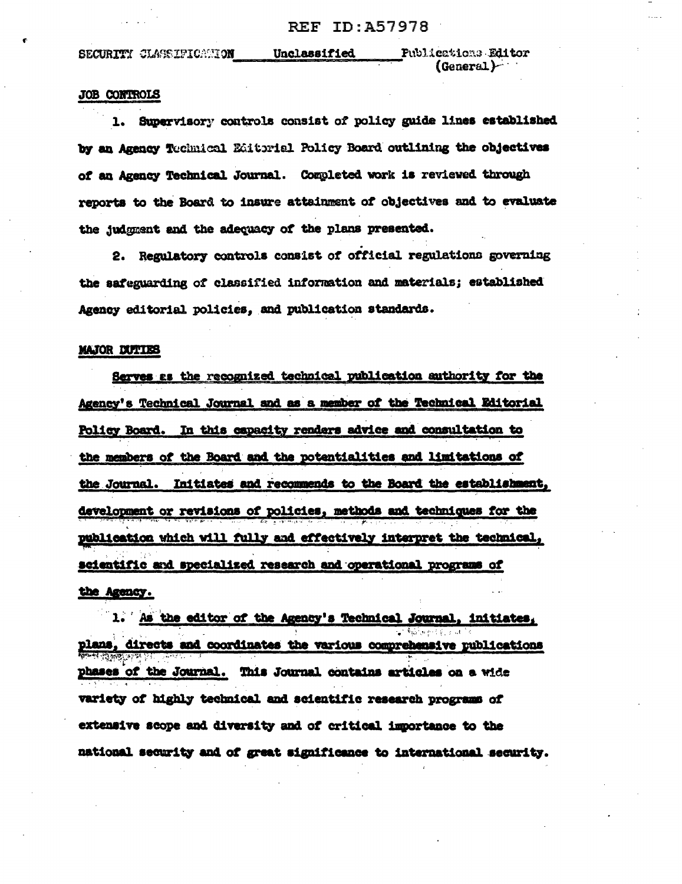SECURITY CLASSIFICATION

Unclassified

Publications Editor  $(General)$ 

## **JOB CONTROLS**

1. Supervisory controls consist of policy guide lines established by an Agency Technical Editorial Policy Board outlining the objectives of an Agency Technical Journal. Completed work is reviewed through reports to the Board to insure attainment of objectives and to evaluate the judgment and the adequacy of the plans presented.

2. Regulatory controls consist of official regulations governing the safeguarding of classified information and materials; established Agency editorial policies, and publication standards.

## **MAJOR DUTIES**

Serves as the recognized technical publication authority for the Agency's Technical Journal and as a member of the Technical Editorial Policy Board. In this capacity renders advice and consultation to the members of the Board and the potentialities and limitations of the Journal. Initiates and recommends to the Board the establishment, development or revisions of policies, methods and techniques for the publication which will fully and effectively interpret the technical, scientific and specialized research and operational programs of the Agency.

1. As the editor of the Agency's Technical Journal, initiates, plans, directs and coordinates the various comprehensive publications phases of the Journal. This Journal contains articles on a wide variety of highly technical and scientific research programs of extensive scope and diversity and of critical importance to the national security and of great significance to international security.